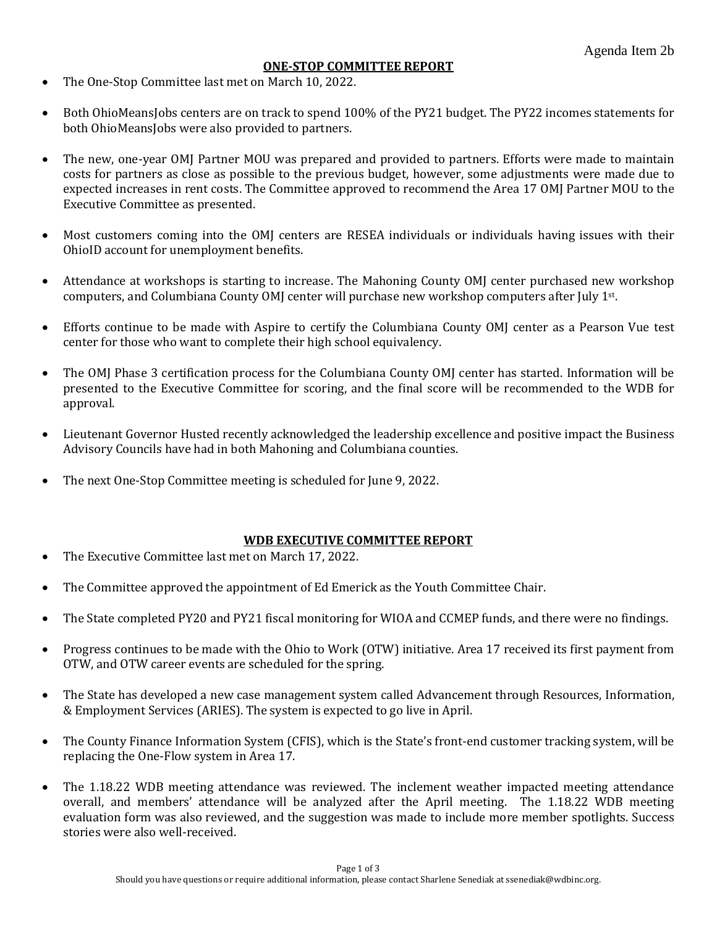## **ONE-STOP COMMITTEE REPORT**

- The One-Stop Committee last met on March 10, 2022.
- Both OhioMeansJobs centers are on track to spend 100% of the PY21 budget. The PY22 incomes statements for both OhioMeansJobs were also provided to partners.
- The new, one-year OMJ Partner MOU was prepared and provided to partners. Efforts were made to maintain costs for partners as close as possible to the previous budget, however, some adjustments were made due to expected increases in rent costs. The Committee approved to recommend the Area 17 OMJ Partner MOU to the Executive Committee as presented.
- Most customers coming into the OMJ centers are RESEA individuals or individuals having issues with their OhioID account for unemployment benefits.
- Attendance at workshops is starting to increase. The Mahoning County OMJ center purchased new workshop computers, and Columbiana County OMJ center will purchase new workshop computers after July 1<sup>st</sup>.
- Efforts continue to be made with Aspire to certify the Columbiana County OMJ center as a Pearson Vue test center for those who want to complete their high school equivalency.
- The OMJ Phase 3 certification process for the Columbiana County OMJ center has started. Information will be presented to the Executive Committee for scoring, and the final score will be recommended to the WDB for approval.
- Lieutenant Governor Husted recently acknowledged the leadership excellence and positive impact the Business Advisory Councils have had in both Mahoning and Columbiana counties.
- The next One-Stop Committee meeting is scheduled for June 9, 2022.

## **WDB EXECUTIVE COMMITTEE REPORT**

- The Executive Committee last met on March 17, 2022.
- The Committee approved the appointment of Ed Emerick as the Youth Committee Chair.
- The State completed PY20 and PY21 fiscal monitoring for WIOA and CCMEP funds, and there were no findings.
- Progress continues to be made with the Ohio to Work (OTW) initiative. Area 17 received its first payment from OTW, and OTW career events are scheduled for the spring.
- The State has developed a new case management system called Advancement through Resources, Information, & Employment Services (ARIES). The system is expected to go live in April.
- The County Finance Information System (CFIS), which is the State's front-end customer tracking system, will be replacing the One-Flow system in Area 17.
- The 1.18.22 WDB meeting attendance was reviewed. The inclement weather impacted meeting attendance overall, and members' attendance will be analyzed after the April meeting. The 1.18.22 WDB meeting evaluation form was also reviewed, and the suggestion was made to include more member spotlights. Success stories were also well-received.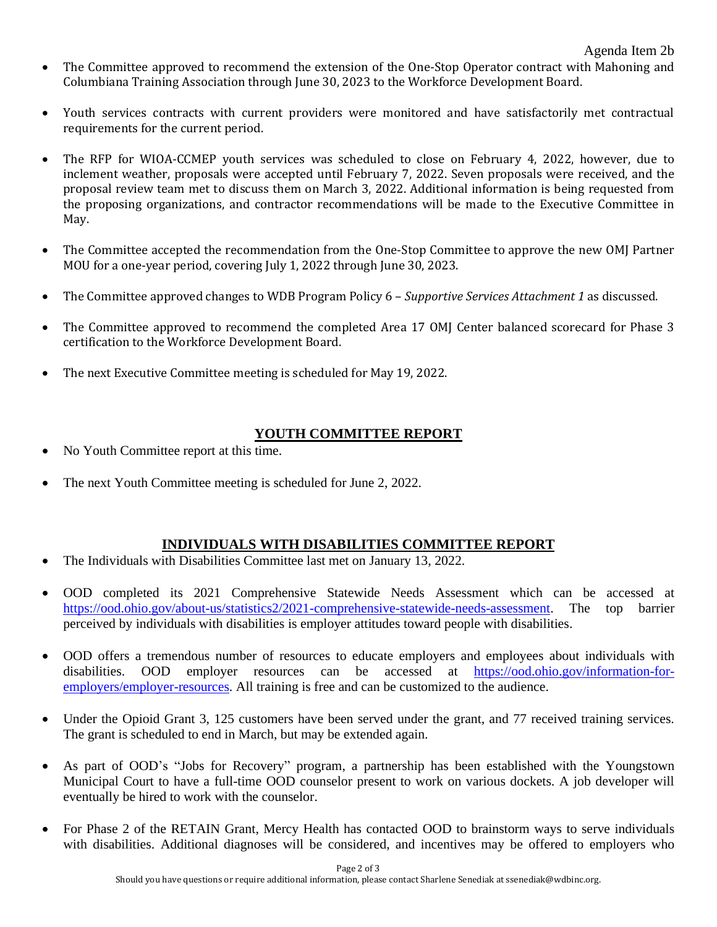Agenda Item 2b

- The Committee approved to recommend the extension of the One-Stop Operator contract with Mahoning and Columbiana Training Association through June 30, 2023 to the Workforce Development Board.
- Youth services contracts with current providers were monitored and have satisfactorily met contractual requirements for the current period.
- The RFP for WIOA-CCMEP youth services was scheduled to close on February 4, 2022, however, due to inclement weather, proposals were accepted until February 7, 2022. Seven proposals were received, and the proposal review team met to discuss them on March 3, 2022. Additional information is being requested from the proposing organizations, and contractor recommendations will be made to the Executive Committee in May.
- The Committee accepted the recommendation from the One-Stop Committee to approve the new OMJ Partner MOU for a one-year period, covering July 1, 2022 through June 30, 2023.
- The Committee approved changes to WDB Program Policy 6 *Supportive Services Attachment 1* as discussed.
- The Committee approved to recommend the completed Area 17 OMJ Center balanced scorecard for Phase 3 certification to the Workforce Development Board.
- The next Executive Committee meeting is scheduled for May 19, 2022.

## **YOUTH COMMITTEE REPORT**

- No Youth Committee report at this time.
- The next Youth Committee meeting is scheduled for June 2, 2022.

## **INDIVIDUALS WITH DISABILITIES COMMITTEE REPORT**

- The Individuals with Disabilities Committee last met on January 13, 2022.
- OOD completed its 2021 Comprehensive Statewide Needs Assessment which can be accessed at [https://ood.ohio.gov/about-us/statistics2/2021-comprehensive-statewide-needs-assessment.](https://ood.ohio.gov/about-us/statistics2/2021-comprehensive-statewide-needs-assessment) The top barrier perceived by individuals with disabilities is employer attitudes toward people with disabilities.
- OOD offers a tremendous number of resources to educate employers and employees about individuals with disabilities. OOD employer resources can be accessed at [https://ood.ohio.gov/information-for](https://ood.ohio.gov/information-for-employers/employer-resources)[employers/employer-resources.](https://ood.ohio.gov/information-for-employers/employer-resources) All training is free and can be customized to the audience.
- Under the Opioid Grant 3, 125 customers have been served under the grant, and 77 received training services. The grant is scheduled to end in March, but may be extended again.
- As part of OOD's "Jobs for Recovery" program, a partnership has been established with the Youngstown Municipal Court to have a full-time OOD counselor present to work on various dockets. A job developer will eventually be hired to work with the counselor.
- For Phase 2 of the RETAIN Grant, Mercy Health has contacted OOD to brainstorm ways to serve individuals with disabilities. Additional diagnoses will be considered, and incentives may be offered to employers who